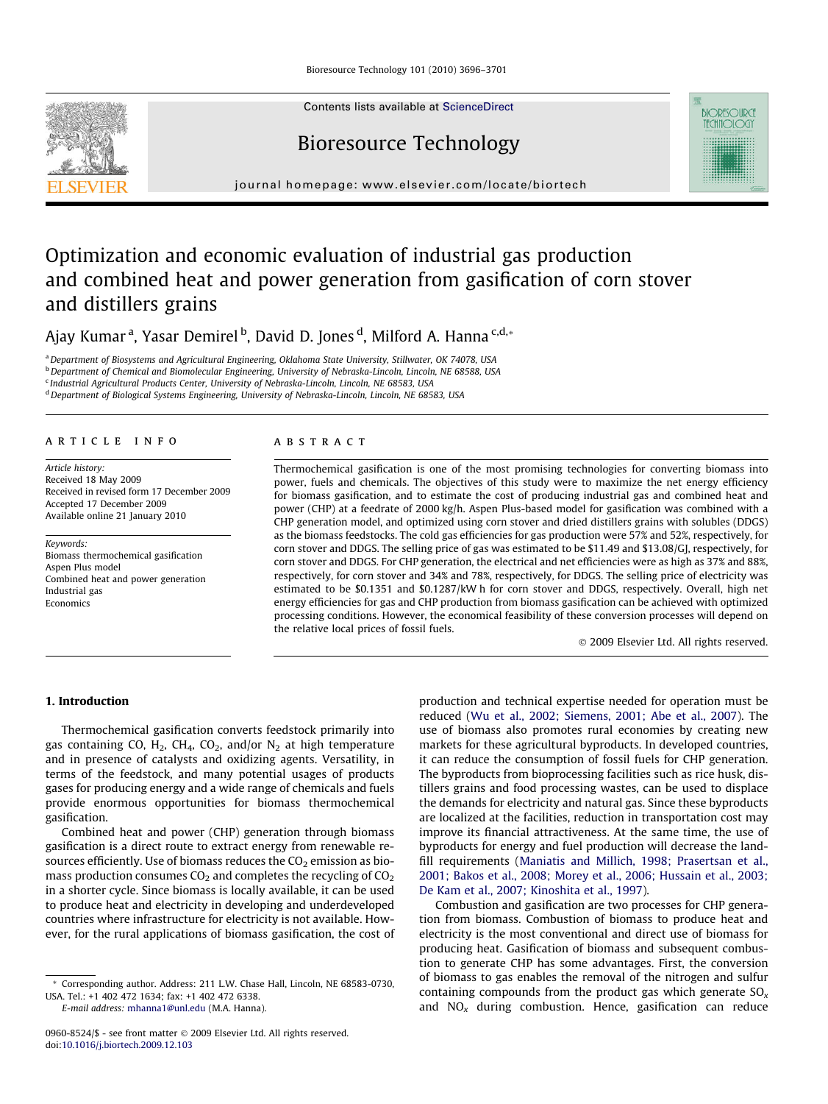Contents lists available at [ScienceDirect](http://www.sciencedirect.com/science/journal/09608524)

# Bioresource Technology

journal homepage: [www.elsevier.com/locate/biortech](http://www.elsevier.com/locate/biortech)

# Optimization and economic evaluation of industrial gas production and combined heat and power generation from gasification of corn stover and distillers grains

Ajay Kumar <sup>a</sup>, Yasar Demirel <sup>b</sup>, David D. Jones <sup>d</sup>, Milford A. Hanna <sup>c,d,</sup>\*

<sup>a</sup> Department of Biosystems and Agricultural Engineering, Oklahoma State University, Stillwater, OK 74078, USA

<sup>b</sup> Department of Chemical and Biomolecular Engineering, University of Nebraska-Lincoln, Lincoln, NE 68588, USA

<sup>c</sup> Industrial Agricultural Products Center, University of Nebraska-Lincoln, Lincoln, NE 68583, USA

 $d$  Department of Biological Systems Engineering, University of Nebraska-Lincoln, Lincoln, NE 68583, USA

# article info

Article history: Received 18 May 2009 Received in revised form 17 December 2009 Accepted 17 December 2009 Available online 21 January 2010

Keywords: Biomass thermochemical gasification Aspen Plus model Combined heat and power generation Industrial gas Economics

# ABSTRACT

Thermochemical gasification is one of the most promising technologies for converting biomass into power, fuels and chemicals. The objectives of this study were to maximize the net energy efficiency for biomass gasification, and to estimate the cost of producing industrial gas and combined heat and power (CHP) at a feedrate of 2000 kg/h. Aspen Plus-based model for gasification was combined with a CHP generation model, and optimized using corn stover and dried distillers grains with solubles (DDGS) as the biomass feedstocks. The cold gas efficiencies for gas production were 57% and 52%, respectively, for corn stover and DDGS. The selling price of gas was estimated to be \$11.49 and \$13.08/GJ, respectively, for corn stover and DDGS. For CHP generation, the electrical and net efficiencies were as high as 37% and 88%, respectively, for corn stover and 34% and 78%, respectively, for DDGS. The selling price of electricity was estimated to be \$0.1351 and \$0.1287/kW h for corn stover and DDGS, respectively. Overall, high net energy efficiencies for gas and CHP production from biomass gasification can be achieved with optimized processing conditions. However, the economical feasibility of these conversion processes will depend on the relative local prices of fossil fuels.

- 2009 Elsevier Ltd. All rights reserved.

**BIORESOURCH TFCHIIOIOGY** 

# 1. Introduction

Thermochemical gasification converts feedstock primarily into gas containing CO,  $H_2$ , CH<sub>4</sub>, CO<sub>2</sub>, and/or N<sub>2</sub> at high temperature and in presence of catalysts and oxidizing agents. Versatility, in terms of the feedstock, and many potential usages of products gases for producing energy and a wide range of chemicals and fuels provide enormous opportunities for biomass thermochemical gasification.

Combined heat and power (CHP) generation through biomass gasification is a direct route to extract energy from renewable resources efficiently. Use of biomass reduces the  $CO<sub>2</sub>$  emission as biomass production consumes  $CO<sub>2</sub>$  and completes the recycling of  $CO<sub>2</sub>$ in a shorter cycle. Since biomass is locally available, it can be used to produce heat and electricity in developing and underdeveloped countries where infrastructure for electricity is not available. However, for the rural applications of biomass gasification, the cost of

E-mail address: [mhanna1@unl.edu](mailto:mhanna1@unl.edu) (M.A. Hanna).

production and technical expertise needed for operation must be reduced ([Wu et al., 2002; Siemens, 2001; Abe et al., 2007](#page-5-0)). The use of biomass also promotes rural economies by creating new markets for these agricultural byproducts. In developed countries, it can reduce the consumption of fossil fuels for CHP generation. The byproducts from bioprocessing facilities such as rice husk, distillers grains and food processing wastes, can be used to displace the demands for electricity and natural gas. Since these byproducts are localized at the facilities, reduction in transportation cost may improve its financial attractiveness. At the same time, the use of byproducts for energy and fuel production will decrease the landfill requirements ([Maniatis and Millich, 1998; Prasertsan et al.,](#page-5-0) [2001; Bakos et al., 2008; Morey et al., 2006; Hussain et al., 2003;](#page-5-0) [De Kam et al., 2007; Kinoshita et al., 1997](#page-5-0)).

Combustion and gasification are two processes for CHP generation from biomass. Combustion of biomass to produce heat and electricity is the most conventional and direct use of biomass for producing heat. Gasification of biomass and subsequent combustion to generate CHP has some advantages. First, the conversion of biomass to gas enables the removal of the nitrogen and sulfur containing compounds from the product gas which generate  $SO<sub>x</sub>$ and  $NO<sub>x</sub>$  during combustion. Hence, gasification can reduce



<sup>\*</sup> Corresponding author. Address: 211 L.W. Chase Hall, Lincoln, NE 68583-0730, USA. Tel.: +1 402 472 1634; fax: +1 402 472 6338.

<sup>0960-8524/\$ -</sup> see front matter © 2009 Elsevier Ltd. All rights reserved. doi:[10.1016/j.biortech.2009.12.103](http://dx.doi.org/10.1016/j.biortech.2009.12.103)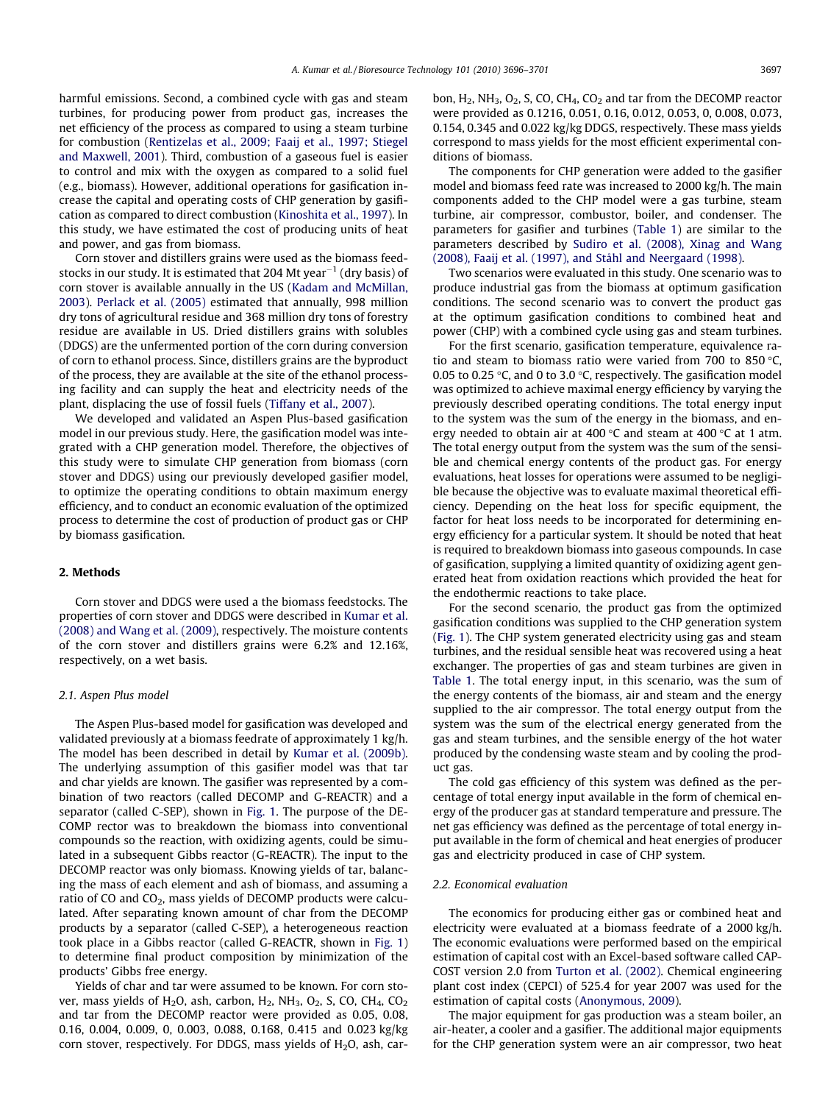harmful emissions. Second, a combined cycle with gas and steam turbines, for producing power from product gas, increases the net efficiency of the process as compared to using a steam turbine for combustion [\(Rentizelas et al., 2009; Faaij et al., 1997; Stiegel](#page-5-0) [and Maxwell, 2001\)](#page-5-0). Third, combustion of a gaseous fuel is easier to control and mix with the oxygen as compared to a solid fuel (e.g., biomass). However, additional operations for gasification increase the capital and operating costs of CHP generation by gasification as compared to direct combustion [\(Kinoshita et al., 1997](#page-5-0)). In this study, we have estimated the cost of producing units of heat and power, and gas from biomass.

Corn stover and distillers grains were used as the biomass feedstocks in our study. It is estimated that 204 Mt year $^{-1}$  (dry basis) of corn stover is available annually in the US [\(Kadam and McMillan,](#page-5-0) [2003](#page-5-0)). [Perlack et al. \(2005\)](#page-5-0) estimated that annually, 998 million dry tons of agricultural residue and 368 million dry tons of forestry residue are available in US. Dried distillers grains with solubles (DDGS) are the unfermented portion of the corn during conversion of corn to ethanol process. Since, distillers grains are the byproduct of the process, they are available at the site of the ethanol processing facility and can supply the heat and electricity needs of the plant, displacing the use of fossil fuels ([Tiffany et al., 2007\)](#page-5-0).

We developed and validated an Aspen Plus-based gasification model in our previous study. Here, the gasification model was integrated with a CHP generation model. Therefore, the objectives of this study were to simulate CHP generation from biomass (corn stover and DDGS) using our previously developed gasifier model, to optimize the operating conditions to obtain maximum energy efficiency, and to conduct an economic evaluation of the optimized process to determine the cost of production of product gas or CHP by biomass gasification.

# 2. Methods

Corn stover and DDGS were used a the biomass feedstocks. The properties of corn stover and DDGS were described in [Kumar et al.](#page-5-0) [\(2008\) and Wang et al. \(2009\),](#page-5-0) respectively. The moisture contents of the corn stover and distillers grains were 6.2% and 12.16%, respectively, on a wet basis.

# 2.1. Aspen Plus model

The Aspen Plus-based model for gasification was developed and validated previously at a biomass feedrate of approximately 1 kg/h. The model has been described in detail by [Kumar et al. \(2009b\).](#page-5-0) The underlying assumption of this gasifier model was that tar and char yields are known. The gasifier was represented by a combination of two reactors (called DECOMP and G-REACTR) and a separator (called C-SEP), shown in [Fig. 1.](#page-2-0) The purpose of the DE-COMP rector was to breakdown the biomass into conventional compounds so the reaction, with oxidizing agents, could be simulated in a subsequent Gibbs reactor (G-REACTR). The input to the DECOMP reactor was only biomass. Knowing yields of tar, balancing the mass of each element and ash of biomass, and assuming a ratio of CO and CO<sub>2</sub>, mass yields of DECOMP products were calculated. After separating known amount of char from the DECOMP products by a separator (called C-SEP), a heterogeneous reaction took place in a Gibbs reactor (called G-REACTR, shown in [Fig. 1\)](#page-2-0) to determine final product composition by minimization of the products' Gibbs free energy.

Yields of char and tar were assumed to be known. For corn stover, mass yields of  $H_2O$ , ash, carbon,  $H_2$ , NH<sub>3</sub>, O<sub>2</sub>, S, CO, CH<sub>4</sub>, CO<sub>2</sub> and tar from the DECOMP reactor were provided as 0.05, 0.08, 0.16, 0.004, 0.009, 0, 0.003, 0.088, 0.168, 0.415 and 0.023 kg/kg corn stover, respectively. For DDGS, mass yields of  $H_2O$ , ash, carbon,  $H_2$ , NH<sub>3</sub>, O<sub>2</sub>, S, CO, CH<sub>4</sub>, CO<sub>2</sub> and tar from the DECOMP reactor were provided as 0.1216, 0.051, 0.16, 0.012, 0.053, 0, 0.008, 0.073, 0.154, 0.345 and 0.022 kg/kg DDGS, respectively. These mass yields correspond to mass yields for the most efficient experimental conditions of biomass.

The components for CHP generation were added to the gasifier model and biomass feed rate was increased to 2000 kg/h. The main components added to the CHP model were a gas turbine, steam turbine, air compressor, combustor, boiler, and condenser. The parameters for gasifier and turbines ([Table 1](#page-2-0)) are similar to the parameters described by [Sudiro et al. \(2008\), Xinag and Wang](#page-5-0) [\(2008\), Faaij et al. \(1997\), and Ståhl and Neergaard \(1998\).](#page-5-0)

Two scenarios were evaluated in this study. One scenario was to produce industrial gas from the biomass at optimum gasification conditions. The second scenario was to convert the product gas at the optimum gasification conditions to combined heat and power (CHP) with a combined cycle using gas and steam turbines.

For the first scenario, gasification temperature, equivalence ratio and steam to biomass ratio were varied from 700 to 850 $\degree$ C, 0.05 to 0.25 °C, and 0 to 3.0 °C, respectively. The gasification model was optimized to achieve maximal energy efficiency by varying the previously described operating conditions. The total energy input to the system was the sum of the energy in the biomass, and energy needed to obtain air at 400  $\degree$ C and steam at 400  $\degree$ C at 1 atm. The total energy output from the system was the sum of the sensible and chemical energy contents of the product gas. For energy evaluations, heat losses for operations were assumed to be negligible because the objective was to evaluate maximal theoretical efficiency. Depending on the heat loss for specific equipment, the factor for heat loss needs to be incorporated for determining energy efficiency for a particular system. It should be noted that heat is required to breakdown biomass into gaseous compounds. In case of gasification, supplying a limited quantity of oxidizing agent generated heat from oxidation reactions which provided the heat for the endothermic reactions to take place.

For the second scenario, the product gas from the optimized gasification conditions was supplied to the CHP generation system ([Fig. 1\)](#page-2-0). The CHP system generated electricity using gas and steam turbines, and the residual sensible heat was recovered using a heat exchanger. The properties of gas and steam turbines are given in [Table 1.](#page-2-0) The total energy input, in this scenario, was the sum of the energy contents of the biomass, air and steam and the energy supplied to the air compressor. The total energy output from the system was the sum of the electrical energy generated from the gas and steam turbines, and the sensible energy of the hot water produced by the condensing waste steam and by cooling the product gas.

The cold gas efficiency of this system was defined as the percentage of total energy input available in the form of chemical energy of the producer gas at standard temperature and pressure. The net gas efficiency was defined as the percentage of total energy input available in the form of chemical and heat energies of producer gas and electricity produced in case of CHP system.

# 2.2. Economical evaluation

The economics for producing either gas or combined heat and electricity were evaluated at a biomass feedrate of a 2000 kg/h. The economic evaluations were performed based on the empirical estimation of capital cost with an Excel-based software called CAP-COST version 2.0 from [Turton et al. \(2002\)](#page-5-0). Chemical engineering plant cost index (CEPCI) of 525.4 for year 2007 was used for the estimation of capital costs ([Anonymous, 2009\)](#page-5-0).

The major equipment for gas production was a steam boiler, an air-heater, a cooler and a gasifier. The additional major equipments for the CHP generation system were an air compressor, two heat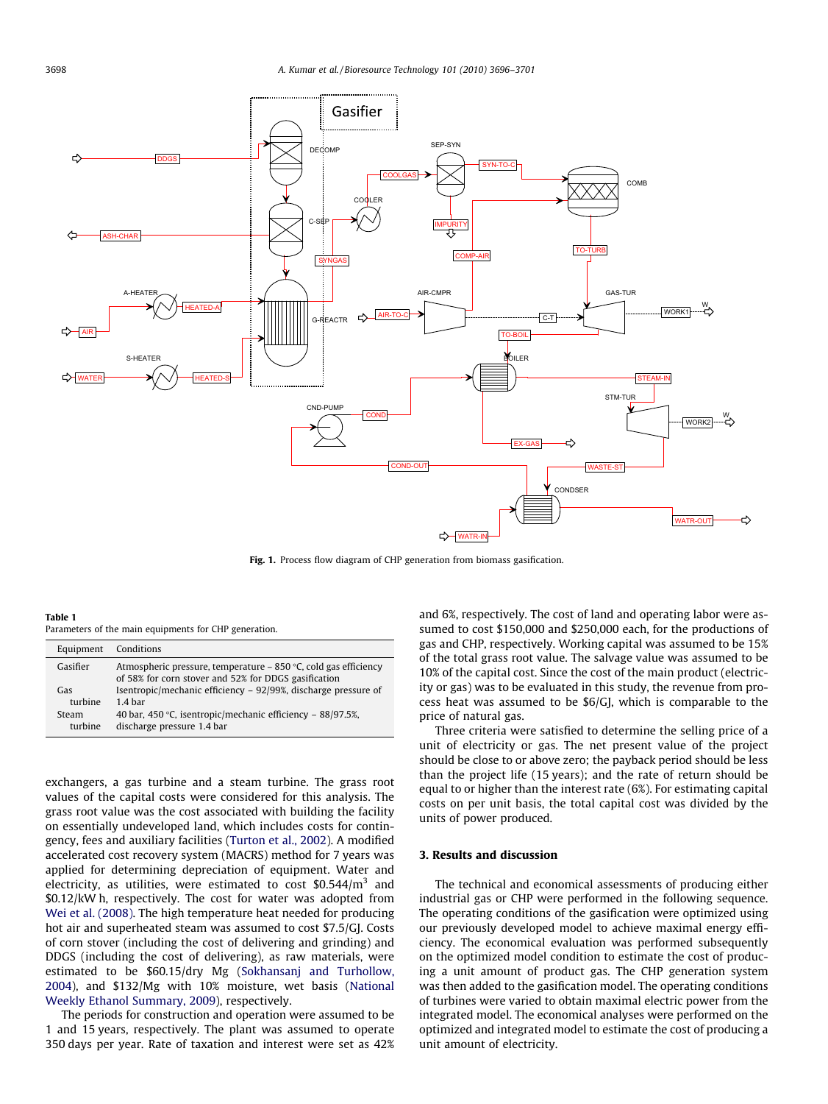<span id="page-2-0"></span>

Fig. 1. Process flow diagram of CHP generation from biomass gasification.

| Table 1                                               |  |  |  |
|-------------------------------------------------------|--|--|--|
| Parameters of the main equipments for CHP generation. |  |  |  |

| Equipment                          | Conditions                                                                                                                                                                          |
|------------------------------------|-------------------------------------------------------------------------------------------------------------------------------------------------------------------------------------|
| Gasifier                           | Atmospheric pressure, temperature – 850 °C, cold gas efficiency<br>of 58% for corn stover and 52% for DDGS gasification                                                             |
| Gas<br>turbine<br>Steam<br>turbine | Isentropic/mechanic efficiency - 92/99%, discharge pressure of<br>14 <sub>bar</sub><br>40 bar, 450 °C, isentropic/mechanic efficiency – $88/97.5\%$ ,<br>discharge pressure 1.4 bar |

exchangers, a gas turbine and a steam turbine. The grass root values of the capital costs were considered for this analysis. The grass root value was the cost associated with building the facility on essentially undeveloped land, which includes costs for contingency, fees and auxiliary facilities ([Turton et al., 2002\)](#page-5-0). A modified accelerated cost recovery system (MACRS) method for 7 years was applied for determining depreciation of equipment. Water and electricity, as utilities, were estimated to cost  $$0.544/m<sup>3</sup>$  and \$0.12/kW h, respectively. The cost for water was adopted from [Wei et al. \(2008\).](#page-5-0) The high temperature heat needed for producing hot air and superheated steam was assumed to cost \$7.5/GJ. Costs of corn stover (including the cost of delivering and grinding) and DDGS (including the cost of delivering), as raw materials, were estimated to be \$60.15/dry Mg ([Sokhansanj and Turhollow,](#page-5-0) [2004\)](#page-5-0), and \$132/Mg with 10% moisture, wet basis ([National](#page-5-0) [Weekly Ethanol Summary, 2009](#page-5-0)), respectively.

The periods for construction and operation were assumed to be 1 and 15 years, respectively. The plant was assumed to operate 350 days per year. Rate of taxation and interest were set as 42%

and 6%, respectively. The cost of land and operating labor were assumed to cost \$150,000 and \$250,000 each, for the productions of gas and CHP, respectively. Working capital was assumed to be 15% of the total grass root value. The salvage value was assumed to be 10% of the capital cost. Since the cost of the main product (electricity or gas) was to be evaluated in this study, the revenue from process heat was assumed to be \$6/GJ, which is comparable to the price of natural gas.

Three criteria were satisfied to determine the selling price of a unit of electricity or gas. The net present value of the project should be close to or above zero; the payback period should be less than the project life (15 years); and the rate of return should be equal to or higher than the interest rate (6%). For estimating capital costs on per unit basis, the total capital cost was divided by the units of power produced.

# 3. Results and discussion

The technical and economical assessments of producing either industrial gas or CHP were performed in the following sequence. The operating conditions of the gasification were optimized using our previously developed model to achieve maximal energy efficiency. The economical evaluation was performed subsequently on the optimized model condition to estimate the cost of producing a unit amount of product gas. The CHP generation system was then added to the gasification model. The operating conditions of turbines were varied to obtain maximal electric power from the integrated model. The economical analyses were performed on the optimized and integrated model to estimate the cost of producing a unit amount of electricity.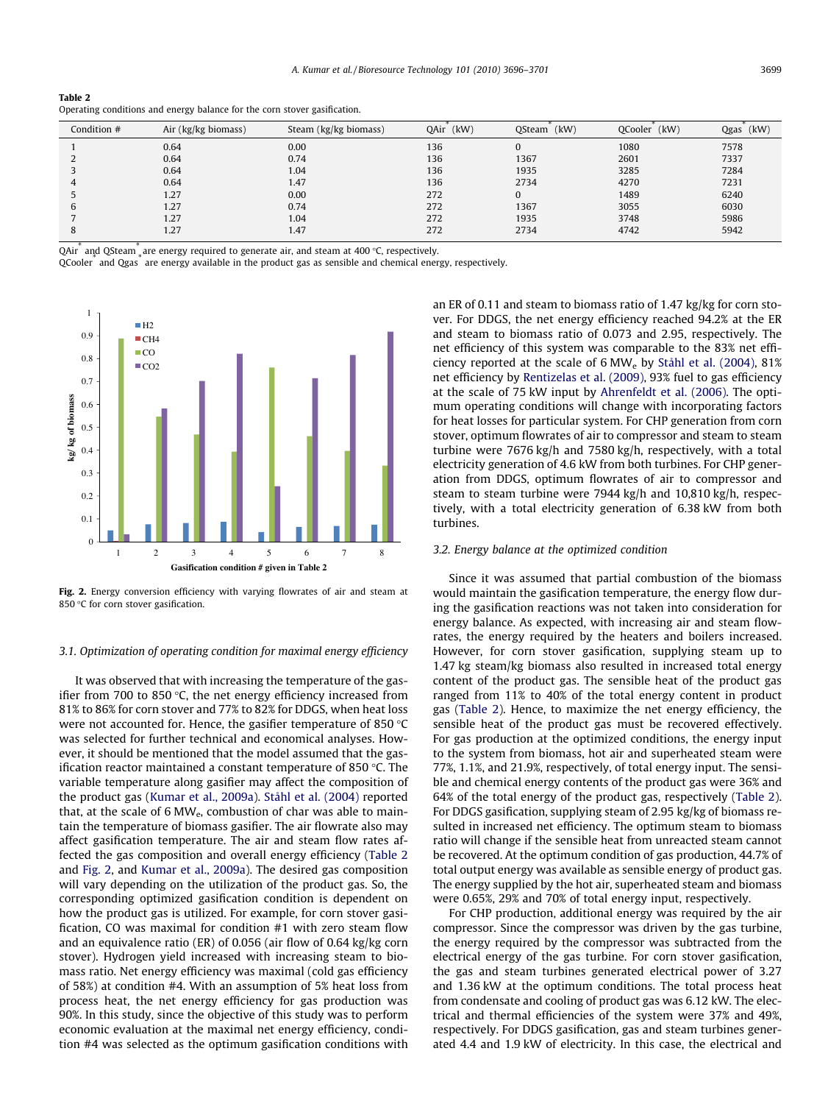| Table 2                                                                   |  |
|---------------------------------------------------------------------------|--|
| Operating conditions and energy balance for the corn stover gasification. |  |

| Condition # | Air (kg/kg biomass) | Steam (kg/kg biomass) | (kW)<br><b>OAir</b> | (kW)<br>OSteam | QCooler (kW) | Qgas (kW) |
|-------------|---------------------|-----------------------|---------------------|----------------|--------------|-----------|
|             | 0.64                | 0.00                  | 136                 |                | 1080         | 7578      |
|             | 0.64                | 0.74                  | 136                 | 1367           | 2601         | 7337      |
|             | 0.64                | 1.04                  | 136                 | 1935           | 3285         | 7284      |
|             | 0.64                | 1.47                  | 136                 | 2734           | 4270         | 7231      |
|             | 1.27                | 0.00                  | 272                 | 0              | 1489         | 6240      |
| b           | 1.27                | 0.74                  | 272                 | 1367           | 3055         | 6030      |
|             | 1.27                | 1.04                  | 272                 | 1935           | 3748         | 5986      |
|             | 1.27                | 1.47                  | 272                 | 2734           | 4742         | 5942      |

OAir $\hat{i}$  and OSteam  $\hat{j}$  are energy required to generate air, and steam at 400 °C, respectively.

QCooler\* and Qgas\* are energy available in the product gas as sensible and chemical energy, respectively.



Fig. 2. Energy conversion efficiency with varying flowrates of air and steam at 850 °C for corn stover gasification.

# 3.1. Optimization of operating condition for maximal energy efficiency

It was observed that with increasing the temperature of the gasifier from 700 to 850 $\degree$ C, the net energy efficiency increased from 81% to 86% for corn stover and 77% to 82% for DDGS, when heat loss were not accounted for. Hence, the gasifier temperature of 850 $°C$ was selected for further technical and economical analyses. However, it should be mentioned that the model assumed that the gasification reactor maintained a constant temperature of 850 $\degree$ C. The variable temperature along gasifier may affect the composition of the product gas ([Kumar et al., 2009a](#page-5-0)). [Ståhl et al. \(2004\)](#page-5-0) reported that, at the scale of  $6 \text{ MW}_e$ , combustion of char was able to maintain the temperature of biomass gasifier. The air flowrate also may affect gasification temperature. The air and steam flow rates affected the gas composition and overall energy efficiency (Table 2 and Fig. 2, and [Kumar et al., 2009a\)](#page-5-0). The desired gas composition will vary depending on the utilization of the product gas. So, the corresponding optimized gasification condition is dependent on how the product gas is utilized. For example, for corn stover gasification, CO was maximal for condition #1 with zero steam flow and an equivalence ratio (ER) of 0.056 (air flow of 0.64 kg/kg corn stover). Hydrogen yield increased with increasing steam to biomass ratio. Net energy efficiency was maximal (cold gas efficiency of 58%) at condition #4. With an assumption of 5% heat loss from process heat, the net energy efficiency for gas production was 90%. In this study, since the objective of this study was to perform economic evaluation at the maximal net energy efficiency, condition #4 was selected as the optimum gasification conditions with an ER of 0.11 and steam to biomass ratio of 1.47 kg/kg for corn stover. For DDGS, the net energy efficiency reached 94.2% at the ER and steam to biomass ratio of 0.073 and 2.95, respectively. The net efficiency of this system was comparable to the 83% net efficiency reported at the scale of  $6 \text{ MW}_{e}$  by [Ståhl et al. \(2004\),](#page-5-0) 81% net efficiency by [Rentizelas et al. \(2009\)](#page-5-0), 93% fuel to gas efficiency at the scale of 75 kW input by [Ahrenfeldt et al. \(2006\)](#page-5-0). The optimum operating conditions will change with incorporating factors for heat losses for particular system. For CHP generation from corn stover, optimum flowrates of air to compressor and steam to steam turbine were 7676 kg/h and 7580 kg/h, respectively, with a total electricity generation of 4.6 kW from both turbines. For CHP generation from DDGS, optimum flowrates of air to compressor and steam to steam turbine were 7944 kg/h and 10,810 kg/h, respectively, with a total electricity generation of 6.38 kW from both turbines.

### 3.2. Energy balance at the optimized condition

Since it was assumed that partial combustion of the biomass would maintain the gasification temperature, the energy flow during the gasification reactions was not taken into consideration for energy balance. As expected, with increasing air and steam flowrates, the energy required by the heaters and boilers increased. However, for corn stover gasification, supplying steam up to 1.47 kg steam/kg biomass also resulted in increased total energy content of the product gas. The sensible heat of the product gas ranged from 11% to 40% of the total energy content in product gas (Table 2). Hence, to maximize the net energy efficiency, the sensible heat of the product gas must be recovered effectively. For gas production at the optimized conditions, the energy input to the system from biomass, hot air and superheated steam were 77%, 1.1%, and 21.9%, respectively, of total energy input. The sensible and chemical energy contents of the product gas were 36% and 64% of the total energy of the product gas, respectively (Table 2). For DDGS gasification, supplying steam of 2.95 kg/kg of biomass resulted in increased net efficiency. The optimum steam to biomass ratio will change if the sensible heat from unreacted steam cannot be recovered. At the optimum condition of gas production, 44.7% of total output energy was available as sensible energy of product gas. The energy supplied by the hot air, superheated steam and biomass were 0.65%, 29% and 70% of total energy input, respectively.

For CHP production, additional energy was required by the air compressor. Since the compressor was driven by the gas turbine, the energy required by the compressor was subtracted from the electrical energy of the gas turbine. For corn stover gasification, the gas and steam turbines generated electrical power of 3.27 and 1.36 kW at the optimum conditions. The total process heat from condensate and cooling of product gas was 6.12 kW. The electrical and thermal efficiencies of the system were 37% and 49%, respectively. For DDGS gasification, gas and steam turbines generated 4.4 and 1.9 kW of electricity. In this case, the electrical and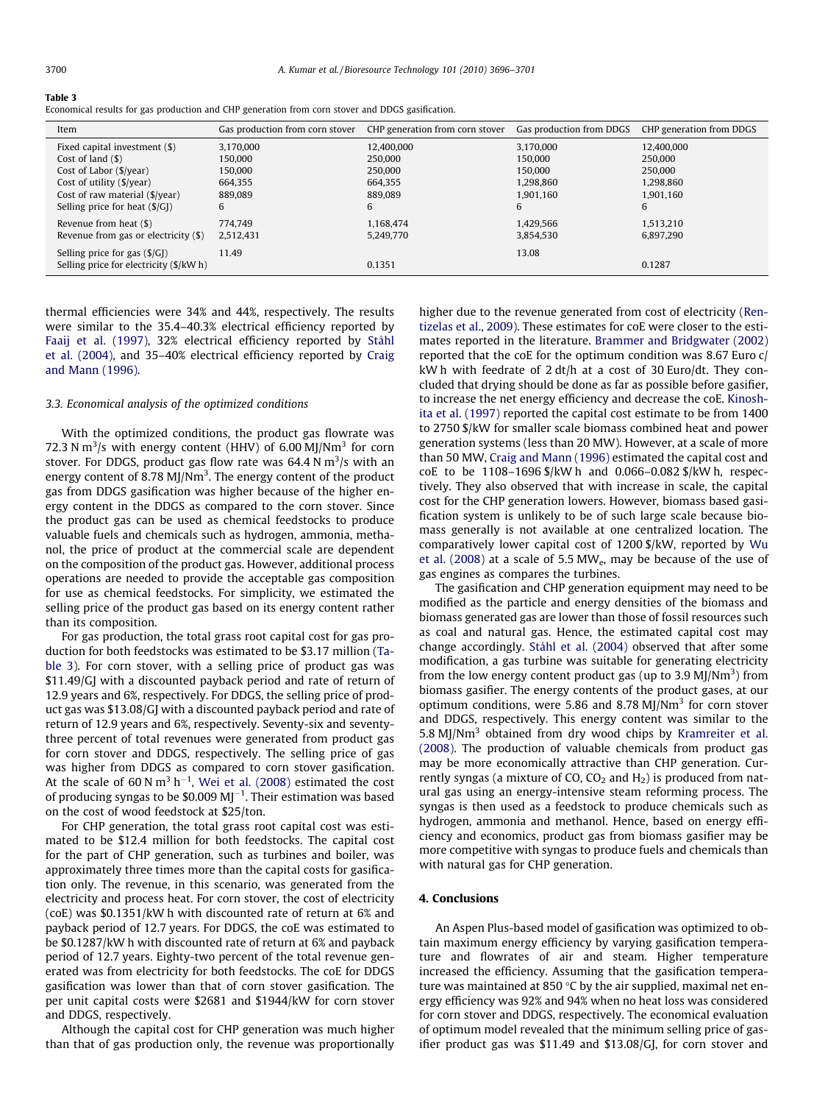#### Table 3

|  |  |  |  |  |  | Economical results for gas production and CHP generation from corn stover and DDGS gasification. |
|--|--|--|--|--|--|--------------------------------------------------------------------------------------------------|
|  |  |  |  |  |  |                                                                                                  |

| Item                                        | Gas production from corn stover | CHP generation from corn stover | Gas production from DDGS | CHP generation from DDGS |
|---------------------------------------------|---------------------------------|---------------------------------|--------------------------|--------------------------|
| Fixed capital investment (\$)               | 3,170,000                       | 12.400.000                      | 3.170.000                | 12,400,000               |
| Cost of land $(\$)$                         | 150.000                         | 250,000                         | 150,000                  | 250,000                  |
| Cost of Labor (\$/year)                     | 150.000                         | 250,000                         | 150,000                  | 250,000                  |
| Cost of utility (\$/year)                   | 664.355                         | 664.355                         | 1,298,860                | 1,298,860                |
| Cost of raw material $(\frac{2}{\sqrt{3}})$ | 889.089                         | 889.089                         | 1.901.160                | 1.901.160                |
| Selling price for heat $(\frac{5}{G})$      | 6                               | 6                               | 6                        | 6                        |
| Revenue from heat $(\$)$                    | 774.749                         | 1.168.474                       | 1.429.566                | 1,513,210                |
| Revenue from gas or electricity $(\$)$      | 2,512,431                       | 5.249.770                       | 3,854,530                | 6.897.290                |
| Selling price for gas $(\frac{5}{G})$       | 11.49                           |                                 | 13.08                    |                          |
| Selling price for electricity (\$/kW h)     |                                 | 0.1351                          |                          | 0.1287                   |

thermal efficiencies were 34% and 44%, respectively. The results were similar to the 35.4–40.3% electrical efficiency reported by [Faaij et al. \(1997\)](#page-5-0), 32% electrical efficiency reported by [Ståhl](#page-5-0) [et al. \(2004\)](#page-5-0), and 35–40% electrical efficiency reported by [Craig](#page-5-0) [and Mann \(1996\).](#page-5-0)

### 3.3. Economical analysis of the optimized conditions

With the optimized conditions, the product gas flowrate was 72.3 N m<sup>3</sup>/s with energy content (HHV) of 6.00 MJ/Nm<sup>3</sup> for corn stover. For DDGS, product gas flow rate was 64.4 N  $\mathrm{m}^3/\mathrm{s}$  with an energy content of 8.78 MJ/Nm<sup>3</sup>. The energy content of the product gas from DDGS gasification was higher because of the higher energy content in the DDGS as compared to the corn stover. Since the product gas can be used as chemical feedstocks to produce valuable fuels and chemicals such as hydrogen, ammonia, methanol, the price of product at the commercial scale are dependent on the composition of the product gas. However, additional process operations are needed to provide the acceptable gas composition for use as chemical feedstocks. For simplicity, we estimated the selling price of the product gas based on its energy content rather than its composition.

For gas production, the total grass root capital cost for gas production for both feedstocks was estimated to be \$3.17 million (Table 3). For corn stover, with a selling price of product gas was \$11.49/GJ with a discounted payback period and rate of return of 12.9 years and 6%, respectively. For DDGS, the selling price of product gas was \$13.08/GJ with a discounted payback period and rate of return of 12.9 years and 6%, respectively. Seventy-six and seventythree percent of total revenues were generated from product gas for corn stover and DDGS, respectively. The selling price of gas was higher from DDGS as compared to corn stover gasification. At the scale of 60 N m<sup>3</sup> h<sup>-1</sup>, [Wei et al. \(2008\)](#page-5-0) estimated the cost of producing syngas to be \$0.009 MJ $^{-1}$ . Their estimation was based on the cost of wood feedstock at \$25/ton.

For CHP generation, the total grass root capital cost was estimated to be \$12.4 million for both feedstocks. The capital cost for the part of CHP generation, such as turbines and boiler, was approximately three times more than the capital costs for gasification only. The revenue, in this scenario, was generated from the electricity and process heat. For corn stover, the cost of electricity (coE) was \$0.1351/kW h with discounted rate of return at 6% and payback period of 12.7 years. For DDGS, the coE was estimated to be \$0.1287/kW h with discounted rate of return at 6% and payback period of 12.7 years. Eighty-two percent of the total revenue generated was from electricity for both feedstocks. The coE for DDGS gasification was lower than that of corn stover gasification. The per unit capital costs were \$2681 and \$1944/kW for corn stover and DDGS, respectively.

Although the capital cost for CHP generation was much higher than that of gas production only, the revenue was proportionally higher due to the revenue generated from cost of electricity [\(Ren](#page-5-0)[tizelas et al., 2009](#page-5-0)). These estimates for coE were closer to the estimates reported in the literature. [Brammer and Bridgwater \(2002\)](#page-5-0) reported that the coE for the optimum condition was 8.67 Euro c/ kW h with feedrate of 2 dt/h at a cost of 30 Euro/dt. They concluded that drying should be done as far as possible before gasifier, to increase the net energy efficiency and decrease the coE. [Kinosh](#page-5-0)[ita et al. \(1997\)](#page-5-0) reported the capital cost estimate to be from 1400 to 2750 \$/kW for smaller scale biomass combined heat and power generation systems (less than 20 MW). However, at a scale of more than 50 MW, [Craig and Mann \(1996\)](#page-5-0) estimated the capital cost and coE to be 1108–1696 \$/kW h and 0.066–0.082 \$/kW h, respectively. They also observed that with increase in scale, the capital cost for the CHP generation lowers. However, biomass based gasification system is unlikely to be of such large scale because biomass generally is not available at one centralized location. The comparatively lower capital cost of 1200 \$/kW, reported by [Wu](#page-5-0) et al.  $(2008)$  at a scale of 5.5 MW<sub>e</sub>, may be because of the use of gas engines as compares the turbines.

The gasification and CHP generation equipment may need to be modified as the particle and energy densities of the biomass and biomass generated gas are lower than those of fossil resources such as coal and natural gas. Hence, the estimated capital cost may change accordingly. [Ståhl et al. \(2004\)](#page-5-0) observed that after some modification, a gas turbine was suitable for generating electricity from the low energy content product gas (up to 3.9 MJ/Nm<sup>3</sup>) from biomass gasifier. The energy contents of the product gases, at our optimum conditions, were 5.86 and 8.78 MJ/Nm<sup>3</sup> for corn stover and DDGS, respectively. This energy content was similar to the 5.8 MJ/Nm<sup>3</sup> obtained from dry wood chips by [Kramreiter et al.](#page-5-0) [\(2008\).](#page-5-0) The production of valuable chemicals from product gas may be more economically attractive than CHP generation. Currently syngas (a mixture of CO,  $CO<sub>2</sub>$  and  $H<sub>2</sub>$ ) is produced from natural gas using an energy-intensive steam reforming process. The syngas is then used as a feedstock to produce chemicals such as hydrogen, ammonia and methanol. Hence, based on energy efficiency and economics, product gas from biomass gasifier may be more competitive with syngas to produce fuels and chemicals than with natural gas for CHP generation.

# 4. Conclusions

An Aspen Plus-based model of gasification was optimized to obtain maximum energy efficiency by varying gasification temperature and flowrates of air and steam. Higher temperature increased the efficiency. Assuming that the gasification temperature was maintained at 850  $\degree$ C by the air supplied, maximal net energy efficiency was 92% and 94% when no heat loss was considered for corn stover and DDGS, respectively. The economical evaluation of optimum model revealed that the minimum selling price of gasifier product gas was \$11.49 and \$13.08/GJ, for corn stover and